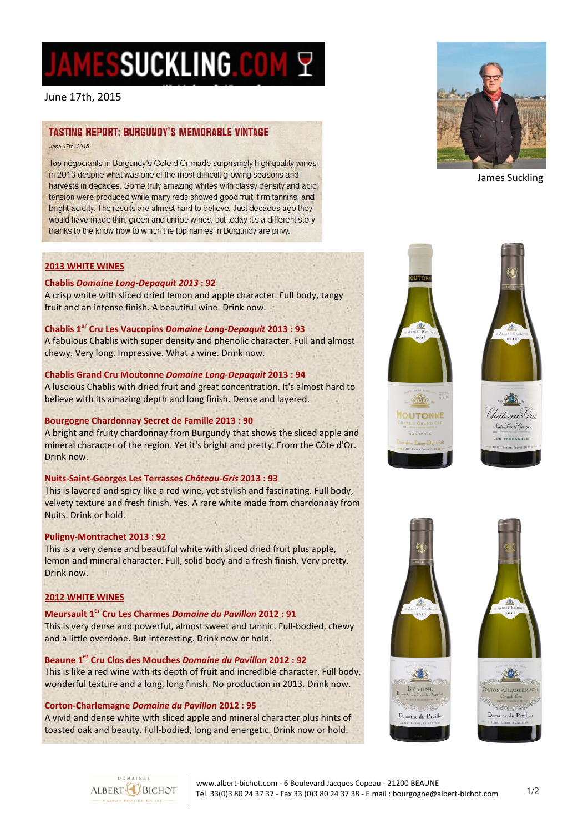# AMESSUCKLING.COM ?

June 17th, 2015

## **TASTING REPORT: BURGUNDY'S MEMORABLE VINTAGE**

June 17th 2015

Top négociants in Burgundy's Cote d'Or made surprisingly high quality wines in 2013 despite what was one of the most difficult growing seasons and harvests in decades. Some truly amazing whites with classy density and acid tension were produced while many reds showed good fruit, firm tannins, and bright acidity. The results are almost hard to believe. Just decades ago they would have made thin, green and unripe wines, but today it's a different story thanks to the know-how to which the top names in Burgundy are privy.

#### **2013 WHITE WINES**

#### **Chablis** *Domaine Long-Depaquit 2013* **: 92**

A crisp white with sliced dried lemon and apple character. Full body, tangy fruit and an intense finish. A beautiful wine. Drink now.

#### **Chablis 1er Cru Les Vaucopins** *Domaine Long-Depaquit* **2013 : 93**

A fabulous Chablis with super density and phenolic character. Full and almost chewy. Very long. Impressive. What a wine. Drink now.

#### **Chablis Grand Cru Moutonne** *Domaine Long-Depaquit* **2013 : 94**

A luscious Chablis with dried fruit and great concentration. It's almost hard to believe with its amazing depth and long finish. Dense and layered.

#### **Bourgogne Chardonnay Secret de Famille 2013 : 90**

A bright and fruity chardonnay from Burgundy that shows the sliced apple and mineral character of the region. Yet it's bright and pretty. From the Côte d'Or. Drink now.

#### **Nuits-Saint-Georges Les Terrasses** *Château-Gris* **2013 : 93**

This is layered and spicy like a red wine, yet stylish and fascinating. Full body, velvety texture and fresh finish. Yes. A rare white made from chardonnay from Nuits. Drink or hold.

#### **Puligny-Montrachet 2013 : 92**

This is a very dense and beautiful white with sliced dried fruit plus apple, lemon and mineral character. Full, solid body and a fresh finish. Very pretty. Drink now.

#### **2012 WHITE WINES**

**Meursault 1er Cru Les Charmes** *Domaine du Pavillon* **2012 : 91**  This is very dense and powerful, almost sweet and tannic. Full-bodied, chewy and a little overdone. But interesting. Drink now or hold.

#### **Beaune 1er Cru Clos des Mouches** *Domaine du Pavillon* **2012 : 92**

This is like a red wine with its depth of fruit and incredible character. Full body, wonderful texture and a long, long finish. No production in 2013. Drink now.

#### **Corton-Charlemagne** *Domaine du Pavillon* **2012 : 95**

A vivid and dense white with sliced apple and mineral character plus hints of toasted oak and beauty. Full-bodied, long and energetic. Drink now or hold.



James Suckling